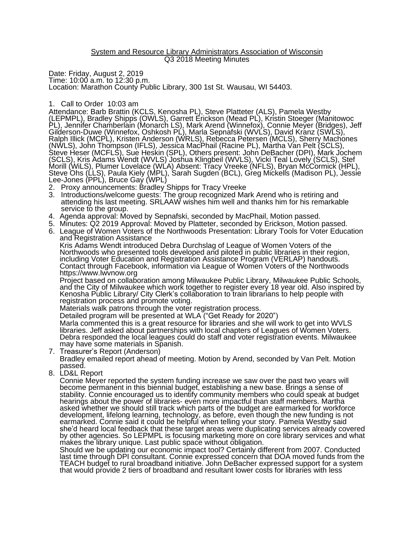## System and Resource Library Administrators Association of Wisconsin Q3 2018 Meeting Minutes

Date: Friday, August 2, 2019 Time: 10:00 a.m. to 12:30 p.m. Location: Marathon County Public Library, 300 1st St. Wausau, WI 54403.

## 1. Call to Order 10:03 am

Attendance: Barb Brattin (KCLS, Kenosha PL), Steve Platteter (ALS), Pamela Westby (LEPMPL), Bradley Shipps (OWLS), Garrett Erickson (Mead PL), Kristin Stoeger (Manitowoc PL), Jennifer Chamberlain (Monarch LS), Mark Arend (Winnefox), Connie Meyer (Bridges), Jeff Gilderson-Duwe (Winnefox, Oshkosh PL), Marla Sepnafski (WVLS), David Kranz (SWLS), Ralph Illick (MCPL), Kristen Anderson (WRLS), Rebecca Petersen (MCLS), Sherry Machones (NWLS), John Thompson (IFLS), Jessica MacPhail (Racine PL), Martha Van Pelt (SCLS), Steve Heser (MCFLS), Sue Heskin (SPL), Others present: John DeBacher (DPI), Mark Jochem (SCLS), Kris Adams Wendt (WVLS) Joshua Klingbeil (WVLS), Vicki Teal Lovely (SCLS), Stef Morill (WiLS), Plumer Lovelace (WLA) Absent: Tracy Vreeke (NFLS), Bryan McCormick (HPL), Steve Ohs (LLS), Paula Kiely (MPL), Sarah Sugden (BCL), Greg Mickells (Madison PL), Jessie Lee-Jones (PPL), Bruce Gay (WPL)

- 2. Proxy announcements: Bradley Shipps for Tracy Vreeke
- 3. Introductions/welcome guests: The group recognized Mark Arend who is retiring and attending his last meeting. SRLAAW wishes him well and thanks him for his remarkable service to the group.
- 4. Agenda approval: Moved by Sepnafski, seconded by MacPhail, Motion passed.
- 5. Minutes: Q2 2019 Approval: Moved by Platteter, seconded by Erickson, Motion passed.
- 6. League of Women Voters of the Northwoods Presentation: Library Tools for Voter Education and Registration Assistance

Kris Adams Wendt introduced Debra Durchslag of League of Women Voters of the Northwoods who presented tools developed and piloted in public libraries in their region, including Voter Education and Registration Assistance Program (VERLAP) handouts. Contact through Facebook, information via League of Women Voters of the Northwoods https://www.lwvnow.org

Project based on collaboration among Milwaukee Public Library, Milwaukee Public Schools, and the City of Milwaukee which work together to register every 18 year old. Also inspired by Kenosha Public Library/ City Clerk's collaboration to train librarians to help people with registration process and promote voting.

Materials walk patrons through the voter registration process.

Detailed program will be presented at WLA ("Get Ready for 2020")

Marla commented this is a great resource for libraries and she will work to get into WVLS libraries. Jeff asked about partnerships with local chapters of Leagues of Women Voters. Debra responded the local leagues could do staff and voter registration events. Milwaukee may have some materials in Spanish.

7. Treasurer's Report (Anderson)

Bradley emailed report ahead of meeting. Motion by Arend, seconded by Van Pelt. Motion passed.

8. LD&L Report

Connie Meyer reported the system funding increase we saw over the past two years will become permanent in this biennial budget, establishing a new base. Brings a sense of stability. Connie encouraged us to identify community members who could speak at budget hearings about the power of libraries- even more impactful than staff members. Martha asked whether we should still track which parts of the budget are earmarked for workforce development, lifelong learning, technology, as before, even though the new funding is not earmarked. Connie said it could be helpful when telling your story. Pamela Westby said she'd heard local feedback that these target areas were duplicating services already covered by other agencies. So LEPMPL is focusing marketing more on core library services and what makes the library unique. Last public space without obligation.

Should we be updating our economic impact tool? Certainly different from 2007. Conducted last time through DPI consultant. Connie expressed concern that DOA moved funds from the TEACH budget to rural broadband initiative. John DeBacher expressed support for a system that would provide 2 tiers of broadband and resultant lower costs for libraries with less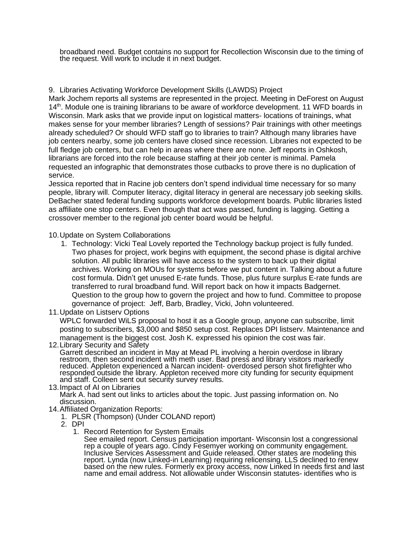broadband need. Budget contains no support for Recollection Wisconsin due to the timing of the request. Will work to include it in next budget.

9. Libraries Activating Workforce Development Skills (LAWDS) Project

Mark Jochem reports all systems are represented in the project. Meeting in DeForest on August 14<sup>th</sup>. Module one is training librarians to be aware of workforce development. 11 WFD boards in Wisconsin. Mark asks that we provide input on logistical matters- locations of trainings, what makes sense for your member libraries? Length of sessions? Pair trainings with other meetings already scheduled? Or should WFD staff go to libraries to train? Although many libraries have job centers nearby, some job centers have closed since recession. Libraries not expected to be full fledge job centers, but can help in areas where there are none. Jeff reports in Oshkosh, librarians are forced into the role because staffing at their job center is minimal. Pamela requested an infographic that demonstrates those cutbacks to prove there is no duplication of service.

Jessica reported that in Racine job centers don't spend individual time necessary for so many people, library will. Computer literacy, digital literacy in general are necessary job seeking skills. DeBacher stated federal funding supports workforce development boards. Public libraries listed as affiliate one stop centers. Even though that act was passed, funding is lagging. Getting a crossover member to the regional job center board would be helpful.

10.Update on System Collaborations

- 1. Technology: Vicki Teal Lovely reported the Technology backup project is fully funded. Two phases for project, work begins with equipment, the second phase is digital archive solution. All public libraries will have access to the system to back up their digital archives. Working on MOUs for systems before we put content in. Talking about a future cost formula. Didn't get unused E-rate funds. Those, plus future surplus E-rate funds are transferred to rural broadband fund. Will report back on how it impacts Badgernet. Question to the group how to govern the project and how to fund. Committee to propose governance of project: Jeff, Barb, Bradley, Vicki, John volunteered.
- 11.Update on Listserv Options

WPLC forwarded WiLS proposal to host it as a Google group, anyone can subscribe, limit posting to subscribers, \$3,000 and \$850 setup cost. Replaces DPI listserv. Maintenance and management is the biggest cost. Josh K. expressed his opinion the cost was fair.

12.Library Security and Safety

Garrett described an incident in May at Mead PL involving a heroin overdose in library restroom, then second incident with meth user. Bad press and library visitors markedly reduced. Appleton experienced a Narcan incident- overdosed person shot firefighter who responded outside the library. Appleton received more city funding for security equipment and staff. Colleen sent out security survey results.

- 13.Impact of AI on Libraries Mark A. had sent out links to articles about the topic. Just passing information on. No discussion.
- 14.Affiliated Organization Reports:
	- 1. PLSR (Thompson) (Under COLAND report)
	- 2. DPI
		- 1. Record Retention for System Emails

See emailed report. Census participation important- Wisconsin lost a congressional rep a couple of years ago. Cindy Fesemyer working on community engagement. Inclusive Services Assessment and Guide released. Other states are modeling this report. Lynda (now Linked-in Learning) requiring relicensing. LLS declined to renew based on the new rules. Formerly ex proxy access, now Linked In needs first and last name and email address. Not allowable under Wisconsin statutes- identifies who is